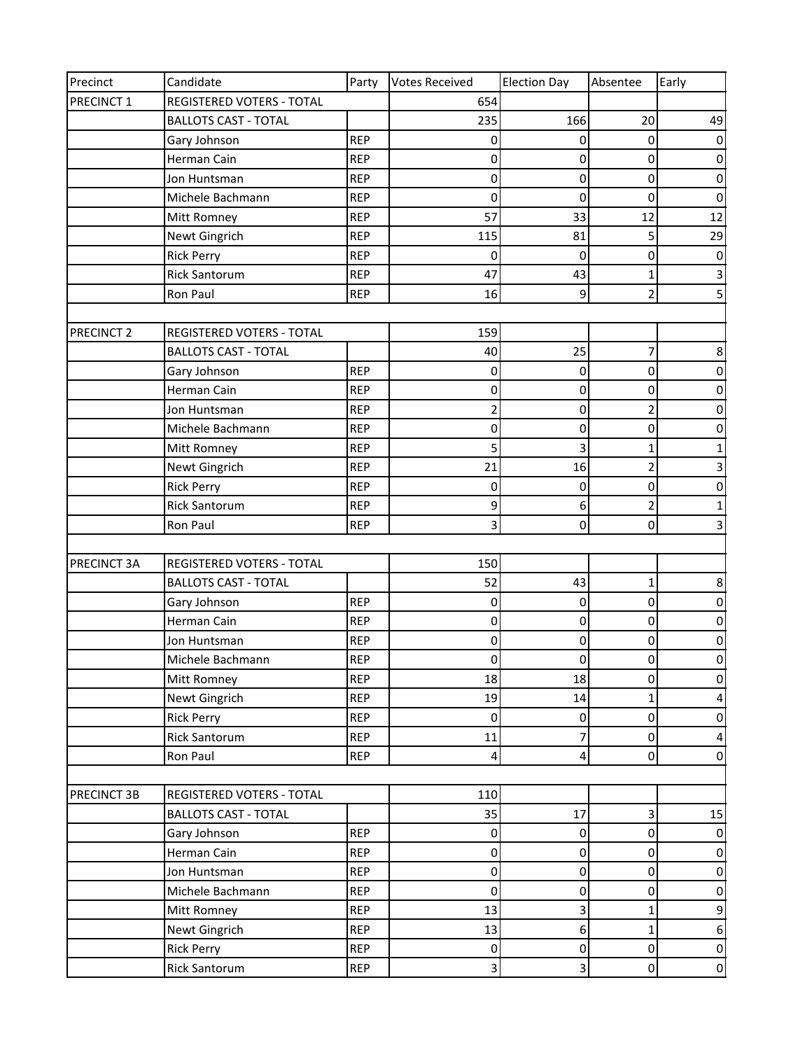| Precinct              | Candidate                   | Party      | <b>Votes Received</b>   | <b>Election Day</b> | Absentee                | Early            |
|-----------------------|-----------------------------|------------|-------------------------|---------------------|-------------------------|------------------|
| PRECINCT 1            | REGISTERED VOTERS - TOTAL   |            | 654                     |                     |                         |                  |
|                       | <b>BALLOTS CAST - TOTAL</b> |            | 235                     | 166                 | 20                      | 49               |
|                       | Gary Johnson                | <b>REP</b> | 0                       | 0                   | 0                       | 0                |
|                       | Herman Cain                 | <b>REP</b> | $\pmb{0}$               | $\overline{0}$      | $\mathsf 0$             | $\pmb{0}$        |
|                       | Jon Huntsman                | <b>REP</b> | $\pmb{0}$               | 0                   | 0                       | 0                |
|                       | Michele Bachmann            | <b>REP</b> | 0                       | 0                   | $\pmb{0}$               | $\pmb{0}$        |
|                       | Mitt Romney                 | <b>REP</b> | 57                      | 33                  | 12                      | 12               |
|                       | Newt Gingrich               | <b>REP</b> | 115                     | 81                  | 5                       | 29               |
|                       | <b>Rick Perry</b>           | <b>REP</b> | 0                       | 0                   | 0                       | 0                |
|                       | <b>Rick Santorum</b>        | <b>REP</b> | 47                      | 43                  | $\mathbf 1$             | $\mathsf 3$      |
|                       | Ron Paul                    | <b>REP</b> | 16                      | 9                   | $\overline{2}$          | 5                |
|                       |                             |            |                         |                     |                         |                  |
| PRECINCT <sub>2</sub> | REGISTERED VOTERS - TOTAL   |            | 159                     |                     |                         |                  |
|                       | <b>BALLOTS CAST - TOTAL</b> |            | 40                      | 25                  | $\overline{7}$          | 8                |
|                       | Gary Johnson                | <b>REP</b> | 0                       | 0                   | $\pmb{0}$               | 0                |
|                       | Herman Cain                 | <b>REP</b> | $\pmb{0}$               | 0                   | $\pmb{0}$               | $\pmb{0}$        |
|                       | Jon Huntsman                | <b>REP</b> | $\overline{\mathbf{c}}$ | $\overline{0}$      | $\overline{c}$          | 0                |
|                       | Michele Bachmann            | <b>REP</b> | $\pmb{0}$               | 0                   | 0                       | 0                |
|                       | Mitt Romney                 | <b>REP</b> | 5                       | 3                   | $\mathbf{1}$            | 1                |
|                       | Newt Gingrich               | <b>REP</b> | 21                      | 16                  | $\overline{c}$          | 3                |
|                       | <b>Rick Perry</b>           | <b>REP</b> | 0                       | 0                   | $\pmb{0}$               | 0                |
|                       | <b>Rick Santorum</b>        | <b>REP</b> | 9                       | 6                   | $\overline{\mathbf{c}}$ | $\mathbf{1}$     |
|                       | Ron Paul                    | <b>REP</b> | 3                       | 0                   | 0                       | 3                |
|                       |                             |            |                         |                     |                         |                  |
| PRECINCT 3A           | REGISTERED VOTERS - TOTAL   |            | 150                     |                     |                         |                  |
|                       | <b>BALLOTS CAST - TOTAL</b> |            | 52                      | 43                  | 1                       | 8                |
|                       | Gary Johnson                | <b>REP</b> | 0                       | 0                   | $\mathbf 0$             | 0                |
|                       | Herman Cain                 | <b>REP</b> | $\pmb{0}$               | $\overline{0}$      | 0                       | $\pmb{0}$        |
|                       | Jon Huntsman                | <b>REP</b> | $\pmb{0}$               | $\overline{0}$      | $\pmb{0}$               | $\pmb{0}$        |
|                       | Michele Bachmann            | <b>REP</b> | $\pmb{0}$               | 0                   | $\pmb{0}$               | $\pmb{0}$        |
|                       | Mitt Romney                 | <b>REP</b> | 18                      | 18                  | 0                       | 0                |
|                       | Newt Gingrich               | <b>REP</b> | 19                      | 14                  | $\mathbf{1}$            | 4                |
|                       | <b>Rick Perry</b>           | <b>REP</b> | $\pmb{0}$               | $\overline{0}$      | $\pmb{0}$               | $\pmb{0}$        |
|                       | <b>Rick Santorum</b>        | <b>REP</b> | 11                      | 7                   | $\mathbf 0$             | 4                |
|                       | Ron Paul                    | <b>REP</b> | 4                       | 4                   | $\pmb{0}$               | $\pmb{0}$        |
|                       |                             |            |                         |                     |                         |                  |
| PRECINCT 3B           | REGISTERED VOTERS - TOTAL   |            | 110                     |                     |                         |                  |
|                       | <b>BALLOTS CAST - TOTAL</b> |            | 35                      | 17                  | 3                       | 15               |
|                       | Gary Johnson                | <b>REP</b> | $\pmb{0}$               | $\overline{0}$      | 0                       | $\pmb{0}$        |
|                       | Herman Cain                 | <b>REP</b> | $\pmb{0}$               | $\overline{0}$      | $\pmb{0}$               | $\mathbf 0$      |
|                       | Jon Huntsman                | <b>REP</b> | $\pmb{0}$               | $\overline{0}$      | $\mathsf 0$             | $\pmb{0}$        |
|                       | Michele Bachmann            | <b>REP</b> | $\pmb{0}$               | $\overline{0}$      | $\mathbf 0$             | $\pmb{0}$        |
|                       | Mitt Romney                 | <b>REP</b> | 13                      | 3                   | $\mathbf 1$             | 9                |
|                       | Newt Gingrich               | <b>REP</b> | 13                      | $6 \overline{6}$    | $\mathbf{1}$            | $\boldsymbol{6}$ |
|                       | <b>Rick Perry</b>           | <b>REP</b> | $\pmb{0}$               | 0                   | $\pmb{0}$               | $\mathbf 0$      |
|                       | <b>Rick Santorum</b>        | <b>REP</b> | 3                       | 3                   | $\pmb{0}$               | $\pmb{0}$        |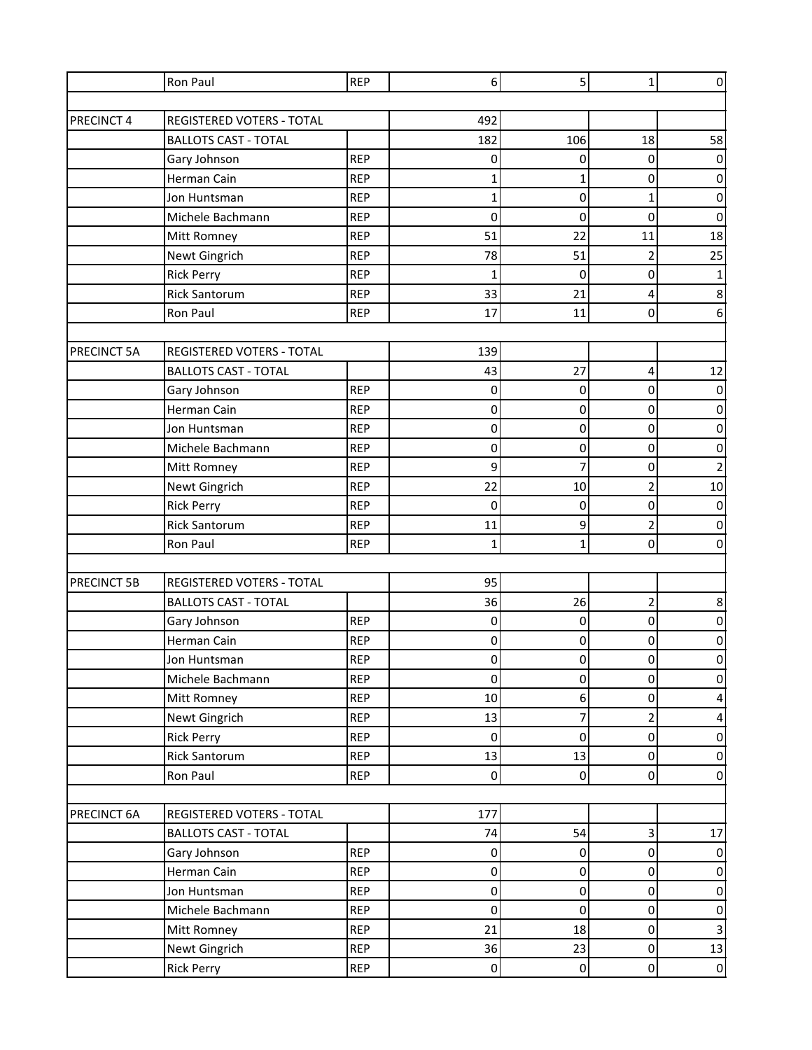| Ron Paul                                 |                                  | <b>REP</b> | 6            | 5 <sup>1</sup>   | 1                       | $\pmb{0}$        |
|------------------------------------------|----------------------------------|------------|--------------|------------------|-------------------------|------------------|
|                                          |                                  |            |              |                  |                         |                  |
| PRECINCT 4                               | <b>REGISTERED VOTERS - TOTAL</b> |            | 492          |                  |                         |                  |
|                                          | <b>BALLOTS CAST - TOTAL</b>      |            | 182          | 106              | 18                      | 58               |
| Gary Johnson                             |                                  | <b>REP</b> | 0            | 0                | $\pmb{0}$               | 0                |
| Herman Cain                              |                                  | <b>REP</b> | 1            | $\mathbf{1}$     | $\pmb{0}$               | $\pmb{0}$        |
| Jon Huntsman                             |                                  | <b>REP</b> | $\mathbf{1}$ | $\overline{0}$   | 1                       | 0                |
| Michele Bachmann                         |                                  | <b>REP</b> | 0            | 0                | 0                       | 0                |
| Mitt Romney                              |                                  | <b>REP</b> | 51           | 22               | 11                      | 18               |
| Newt Gingrich                            |                                  | <b>REP</b> | 78           | 51               | 2                       | 25               |
| <b>Rick Perry</b>                        |                                  | <b>REP</b> | $\mathbf{1}$ | 0                | $\pmb{0}$               | 1                |
| <b>Rick Santorum</b>                     |                                  | <b>REP</b> | 33           | 21               | 4                       | 8                |
| Ron Paul                                 |                                  | <b>REP</b> | 17           | 11               | $\mathbf 0$             | 6                |
|                                          |                                  |            |              |                  |                         |                  |
| PRECINCT 5A                              | <b>REGISTERED VOTERS - TOTAL</b> |            | 139          |                  |                         |                  |
|                                          | <b>BALLOTS CAST - TOTAL</b>      |            | 43           | 27               | 4                       | 12               |
| Gary Johnson                             |                                  | <b>REP</b> | 0            | 0                | $\pmb{0}$               | 0                |
| Herman Cain                              |                                  | <b>REP</b> | 0            | $\pmb{0}$        | 0                       | 0                |
| Jon Huntsman                             |                                  | <b>REP</b> | $\pmb{0}$    | $\overline{0}$   | $\pmb{0}$               | $\pmb{0}$        |
| Michele Bachmann                         |                                  | <b>REP</b> | 0            | 0                | 0                       | 0                |
| Mitt Romney                              |                                  | <b>REP</b> | 9            | 7                | 0                       | $\overline{2}$   |
| Newt Gingrich                            |                                  | <b>REP</b> | 22           | 10               | $\overline{\mathbf{c}}$ | $10\,$           |
| <b>Rick Perry</b>                        |                                  | <b>REP</b> | $\mathbf 0$  | 0                | 0                       | $\pmb{0}$        |
| <b>Rick Santorum</b>                     |                                  | <b>REP</b> | 11           | 9                | $\overline{\mathbf{c}}$ | $\pmb{0}$        |
| Ron Paul                                 |                                  | <b>REP</b> | $\mathbf{1}$ | $\mathbf{1}$     | $\mathbf 0$             | $\pmb{0}$        |
| PRECINCT 5B                              | REGISTERED VOTERS - TOTAL        |            | 95           |                  |                         |                  |
|                                          | <b>BALLOTS CAST - TOTAL</b>      |            | 36           | 26               | $\overline{c}$          | 8                |
|                                          |                                  | <b>REP</b> | 0            | 0                | $\mathsf 0$             | 0                |
| Gary Johnson<br>Herman Cain              |                                  | <b>REP</b> | 0            | 0                | 0                       | $\pmb{0}$        |
| Jon Huntsman                             |                                  | <b>REP</b> | $\mathbf 0$  | $\overline{0}$   | $\overline{0}$          | $\overline{0}$   |
| Michele Bachmann                         |                                  | <b>REP</b> | $\pmb{0}$    | $\overline{0}$   | $\mathbf 0$             | $\mathbf 0$      |
| Mitt Romney                              |                                  | <b>REP</b> | 10           | $6 \overline{6}$ | $\pmb{0}$               | 4                |
| Newt Gingrich                            |                                  | <b>REP</b> | 13           | 7                | $\overline{\mathbf{c}}$ | 4                |
| <b>Rick Perry</b>                        |                                  | <b>REP</b> | 0            | 0                | $\mathsf 0$             | $\pmb{0}$        |
| <b>Rick Santorum</b>                     |                                  | <b>REP</b> | 13           | 13               | $\mathbf 0$             | $\pmb{0}$        |
| Ron Paul                                 |                                  | <b>REP</b> | $\pmb{0}$    | $\overline{0}$   | $\pmb{0}$               | $\pmb{0}$        |
|                                          |                                  |            |              |                  |                         |                  |
| REGISTERED VOTERS - TOTAL<br>PRECINCT 6A |                                  |            | 177          |                  |                         |                  |
|                                          | <b>BALLOTS CAST - TOTAL</b>      |            | 74           | 54               | $\overline{\mathbf{3}}$ | 17               |
| Gary Johnson                             |                                  | <b>REP</b> | $\pmb{0}$    | $\overline{0}$   | $\mathsf 0$             | 0                |
| Herman Cain                              |                                  | <b>REP</b> | $\mathbf 0$  | $\pmb{0}$        | $\mathsf 0$             | $\pmb{0}$        |
| Jon Huntsman                             |                                  | <b>REP</b> | $\mathbf 0$  | $\overline{0}$   | $\mathbf 0$             | $\pmb{0}$        |
| Michele Bachmann                         |                                  | <b>REP</b> | $\pmb{0}$    | $\overline{0}$   | $\mathsf 0$             | $\pmb{0}$        |
| Mitt Romney                              |                                  | <b>REP</b> | 21           | 18               | $\mathsf 0$             | $\mathsf{3}$     |
| Newt Gingrich                            |                                  | <b>REP</b> | 36           | 23               | $\mathbf 0$             | 13               |
| <b>Rick Perry</b>                        |                                  | <b>REP</b> | $\mathbf 0$  | $\overline{0}$   | $\pmb{0}$               | $\boldsymbol{0}$ |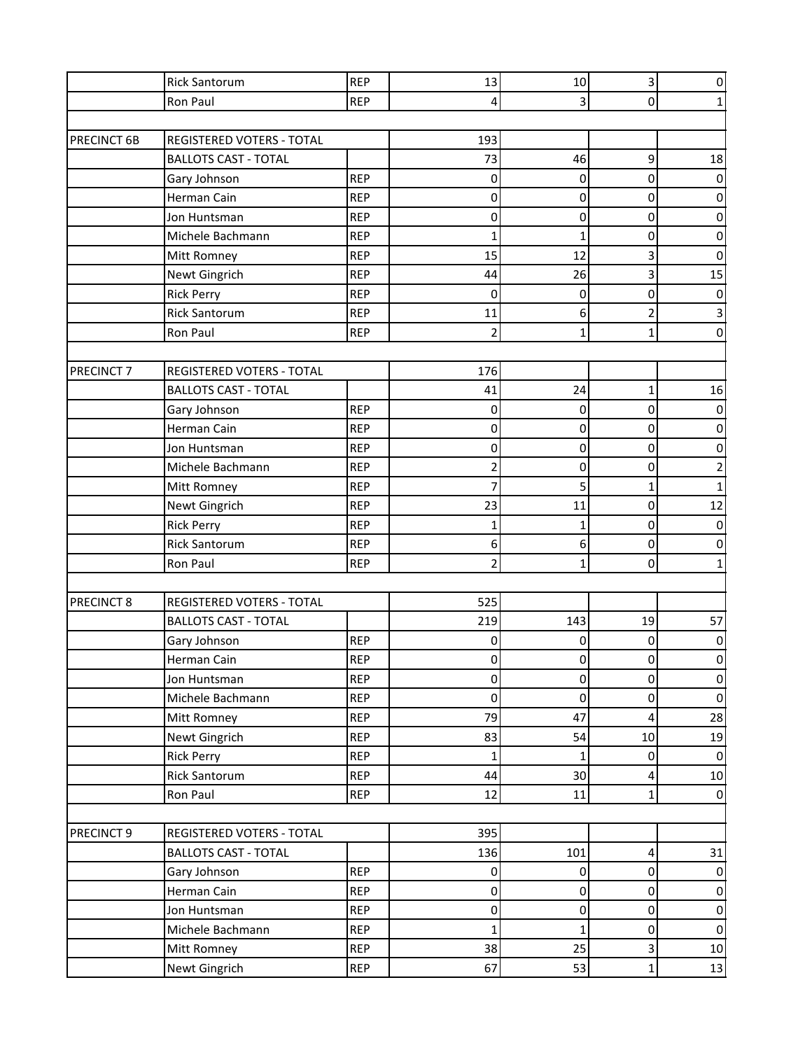|                       | <b>Rick Santorum</b>             | <b>REP</b> | 13             | 10             | 3                       | 0              |
|-----------------------|----------------------------------|------------|----------------|----------------|-------------------------|----------------|
|                       | Ron Paul                         | <b>REP</b> | 4              | 3              | 0                       |                |
|                       |                                  |            |                |                |                         |                |
| PRECINCT 6B           | <b>REGISTERED VOTERS - TOTAL</b> |            | 193            |                |                         |                |
|                       | <b>BALLOTS CAST - TOTAL</b>      |            | 73             | 46             | 9                       | 18             |
|                       | Gary Johnson                     | <b>REP</b> | $\mathbf 0$    | 0              | 0                       | $\pmb{0}$      |
|                       | Herman Cain                      | <b>REP</b> | $\mathbf 0$    | $\pmb{0}$      | 0                       | $\pmb{0}$      |
|                       | Jon Huntsman                     | <b>REP</b> | 0              | $\pmb{0}$      | 0                       | $\mathbf 0$    |
|                       | Michele Bachmann                 | <b>REP</b> | $\mathbf{1}$   | $\mathbf 1$    | 0                       | $\pmb{0}$      |
|                       | Mitt Romney                      | <b>REP</b> | 15             | 12             | 3                       | $\mathbf 0$    |
|                       | Newt Gingrich                    | <b>REP</b> | 44             | 26             | 3                       | 15             |
|                       | <b>Rick Perry</b>                | <b>REP</b> | $\mathbf 0$    | 0              | 0                       | 0              |
|                       | <b>Rick Santorum</b>             | <b>REP</b> | 11             | 6              | $\overline{c}$          | 3              |
|                       | Ron Paul                         | <b>REP</b> | 2              | $\mathbf{1}$   | $\mathbf{1}$            | 0              |
|                       |                                  |            |                |                |                         |                |
| PRECINCT <sub>7</sub> | REGISTERED VOTERS - TOTAL        |            | 176            |                |                         |                |
|                       | <b>BALLOTS CAST - TOTAL</b>      |            | 41             | 24             | 1                       | 16             |
|                       | Gary Johnson                     | <b>REP</b> | 0              | 0              | 0                       | $\pmb{0}$      |
|                       | Herman Cain                      | <b>REP</b> | $\pmb{0}$      | $\pmb{0}$      | 0                       | $\pmb{0}$      |
|                       | Jon Huntsman                     | <b>REP</b> | 0              | 0              | 0                       | $\pmb{0}$      |
|                       | Michele Bachmann                 | <b>REP</b> | 2              | 0              | 0                       | $\overline{2}$ |
|                       | Mitt Romney                      | <b>REP</b> | 7              | 5              | $\mathbf{1}$            | $\mathbf{1}$   |
|                       | Newt Gingrich                    | <b>REP</b> | 23             | 11             | 0                       | 12             |
|                       | <b>Rick Perry</b>                | <b>REP</b> | 1              | 1              | 0                       | $\pmb{0}$      |
|                       | <b>Rick Santorum</b>             | <b>REP</b> | 6              | 6              | 0                       | $\pmb{0}$      |
|                       | Ron Paul                         | <b>REP</b> | $\overline{2}$ | $\mathbf{1}$   | 0                       | 1              |
|                       |                                  |            |                |                |                         |                |
| PRECINCT 8            | REGISTERED VOTERS - TOTAL        |            | 525            |                |                         |                |
|                       | <b>BALLOTS CAST - TOTAL</b>      |            | 219            | 143            | 19                      | 57             |
|                       | Gary Johnson                     | <b>REP</b> | 0              | 0              | 0                       | $\pmb{0}$      |
|                       | Herman Cain                      | <b>REP</b> | $\mathbf 0$    | $\overline{0}$ | 0                       | $\mathbf 0$    |
|                       | Jon Huntsman                     | <b>REP</b> | $\pmb{0}$      | $\overline{0}$ | $\mathbf 0$             | $\pmb{0}$      |
|                       | Michele Bachmann                 | <b>REP</b> | $\pmb{0}$      | $\mathbf 0$    | $\pmb{0}$               | $\pmb{0}$      |
|                       | Mitt Romney                      | <b>REP</b> | 79             | 47             | 4                       | 28             |
|                       | Newt Gingrich                    | <b>REP</b> | 83             | 54             | 10                      | 19             |
|                       | <b>Rick Perry</b>                | <b>REP</b> | 1              | 1              | 0                       | $\mathbf 0$    |
|                       | <b>Rick Santorum</b>             | <b>REP</b> | 44             | 30             | $\overline{\mathbf{4}}$ | $10\,$         |
|                       | Ron Paul                         | <b>REP</b> | 12             | 11             | $\mathbf{1}$            | $\pmb{0}$      |
|                       |                                  |            |                |                |                         |                |
| PRECINCT 9            | REGISTERED VOTERS - TOTAL        |            | 395            |                |                         |                |
|                       | <b>BALLOTS CAST - TOTAL</b>      |            | 136            | 101            | $\pmb{4}$               | 31             |
|                       | Gary Johnson                     | <b>REP</b> | 0              | 0              | 0                       | $\pmb{0}$      |
|                       | Herman Cain                      | <b>REP</b> | $\pmb{0}$      | $\pmb{0}$      | $\pmb{0}$               | $\mathbf 0$    |
|                       | Jon Huntsman                     | <b>REP</b> | $\pmb{0}$      | $\pmb{0}$      | $\pmb{0}$               | $\pmb{0}$      |
|                       | Michele Bachmann                 | <b>REP</b> | 1              | 1              | 0                       | $\pmb{0}$      |
|                       | Mitt Romney                      | <b>REP</b> | 38             | 25             | 3                       | $10\,$         |
|                       | Newt Gingrich                    | <b>REP</b> | 67             | 53             | $\mathbf{1}$            | $13\,$         |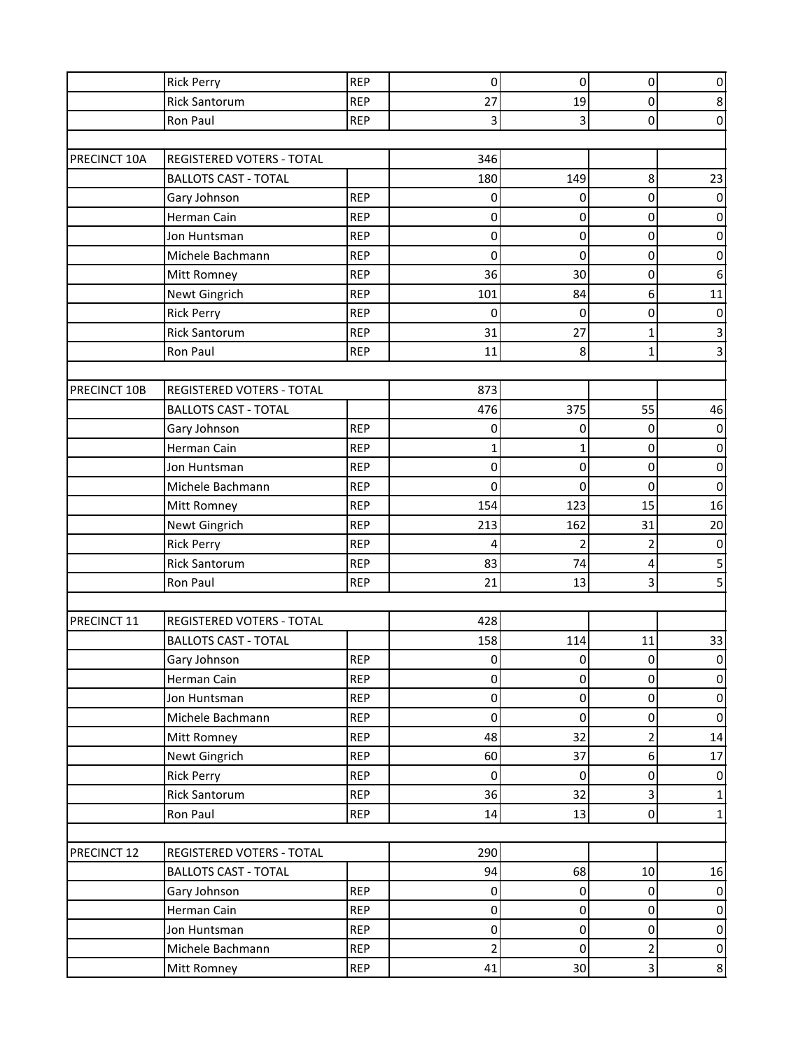|              | <b>Rick Perry</b>           | <b>REP</b> | $\pmb{0}$      | 0              | 0                       | 0                |
|--------------|-----------------------------|------------|----------------|----------------|-------------------------|------------------|
|              | <b>Rick Santorum</b>        | <b>REP</b> | 27             | 19             | $\mathsf 0$             | 8                |
|              | Ron Paul                    | <b>REP</b> | 3              | 3              | 0                       | 0                |
|              |                             |            |                |                |                         |                  |
| PRECINCT 10A | REGISTERED VOTERS - TOTAL   |            | 346            |                |                         |                  |
|              | <b>BALLOTS CAST - TOTAL</b> |            | 180            | 149            | 8                       | 23               |
|              | Gary Johnson                | <b>REP</b> | 0              | 0              | 0                       | 0                |
|              | Herman Cain                 | <b>REP</b> | 0              | $\overline{0}$ | 0                       | $\mathbf 0$      |
|              | Jon Huntsman                | <b>REP</b> | 0              | $\mathbf 0$    | 0                       | $\pmb{0}$        |
|              | Michele Bachmann            | <b>REP</b> | 0              | 0              | 0                       | 0                |
|              | Mitt Romney                 | <b>REP</b> | 36             | 30             | 0                       | $\boldsymbol{6}$ |
|              | Newt Gingrich               | <b>REP</b> | 101            | 84             | 6                       | 11               |
|              | <b>Rick Perry</b>           | <b>REP</b> | 0              | 0              | 0                       | $\pmb{0}$        |
|              | <b>Rick Santorum</b>        | <b>REP</b> | 31             | 27             | $\mathbf{1}$            | 3                |
|              | Ron Paul                    | <b>REP</b> | 11             | 8              | $\mathbf{1}$            | 3                |
|              |                             |            |                |                |                         |                  |
| PRECINCT 10B | REGISTERED VOTERS - TOTAL   |            | 873            |                |                         |                  |
|              | <b>BALLOTS CAST - TOTAL</b> |            | 476            | 375            | 55                      | 46               |
|              | Gary Johnson                | <b>REP</b> | 0              | 0              | 0                       | $\pmb{0}$        |
|              | Herman Cain                 | <b>REP</b> | 1              | 1              | 0                       | $\pmb{0}$        |
|              | Jon Huntsman                | <b>REP</b> | 0              | 0              | 0                       | $\pmb{0}$        |
|              | Michele Bachmann            | <b>REP</b> | 0              | 0              | 0                       | $\mathbf 0$      |
|              | Mitt Romney                 | <b>REP</b> | 154            | 123            | 15                      | 16               |
|              | Newt Gingrich               | <b>REP</b> | 213            | 162            | 31                      | 20               |
|              | <b>Rick Perry</b>           | <b>REP</b> | 4              | $\overline{2}$ | $\overline{\mathbf{c}}$ | $\pmb{0}$        |
|              | <b>Rick Santorum</b>        | <b>REP</b> | 83             | 74             | 4                       | 5                |
|              | Ron Paul                    | <b>REP</b> | 21             | 13             | 3                       | 5                |
|              |                             |            |                |                |                         |                  |
| PRECINCT 11  | REGISTERED VOTERS - TOTAL   |            | 428            |                |                         |                  |
|              | <b>BALLOTS CAST - TOTAL</b> |            | 158            | 114            | 11                      | 33               |
|              | Gary Johnson                | <b>REP</b> | $\mathbf 0$    | $\overline{0}$ | $\overline{0}$          | $\mathbf 0$      |
|              | Herman Cain                 | <b>REP</b> | $\pmb{0}$      | $\overline{0}$ | $\mathbf 0$             | $\pmb{0}$        |
|              | Jon Huntsman                | <b>REP</b> | $\pmb{0}$      | $\overline{0}$ | $\mathbf 0$             | $\pmb{0}$        |
|              | Michele Bachmann            | <b>REP</b> | $\pmb{0}$      | $\mathbf 0$    | $\pmb{0}$               | $\pmb{0}$        |
|              | Mitt Romney                 | <b>REP</b> | 48             | 32             | $\overline{c}$          | 14               |
|              | Newt Gingrich               | <b>REP</b> | 60             | 37             | 6                       | 17               |
|              | <b>Rick Perry</b>           | <b>REP</b> | $\pmb{0}$      | $\overline{0}$ | $\mathsf 0$             | $\pmb{0}$        |
|              | <b>Rick Santorum</b>        | <b>REP</b> | 36             | 32             | ن                       | $\mathbf 1$      |
|              | Ron Paul                    | <b>REP</b> | 14             | 13             | $\mathsf 0$             | $\mathbf{1}$     |
|              |                             |            |                |                |                         |                  |
| PRECINCT 12  | REGISTERED VOTERS - TOTAL   |            | 290            |                |                         |                  |
|              | <b>BALLOTS CAST - TOTAL</b> |            | 94             | 68             | 10                      | 16               |
|              | Gary Johnson                | <b>REP</b> | $\pmb{0}$      | $\mathbf 0$    | $\pmb{0}$               | $\pmb{0}$        |
|              | Herman Cain                 | <b>REP</b> | $\pmb{0}$      | $\overline{0}$ | $\mathbf 0$             | $\mathbf 0$      |
|              | Jon Huntsman                | <b>REP</b> | $\pmb{0}$      | $\overline{0}$ | 0                       | $\pmb{0}$        |
|              | Michele Bachmann            | <b>REP</b> | $\overline{c}$ | $\overline{0}$ | $\overline{\mathbf{c}}$ | $\mathbf 0$      |
|              | Mitt Romney                 | <b>REP</b> | 41             | 30             | $\overline{3}$          | $\bf 8$          |